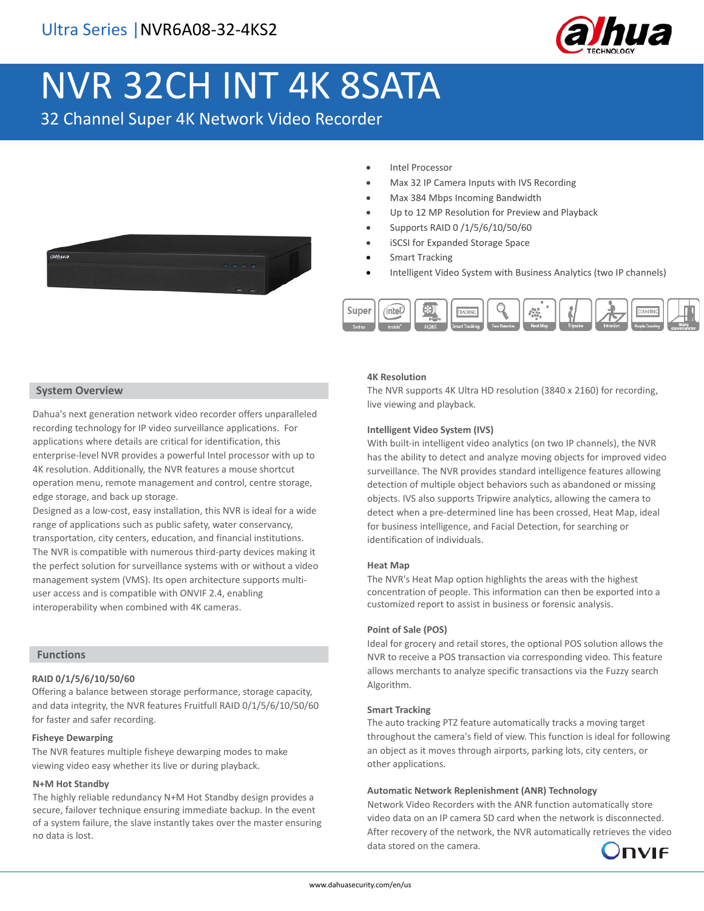

# NVR 32CH INT 4K 8SATA

32 Channel Super 4K Network Video Recorder



- Intel Processor
- Max 32 IP Camera Inputs with IVS Recording
- Max 384 Mbps Incoming Bandwidth
- Up to 12 MP Resolution for Preview and Playback
- Supports RAID 0 /1/5/6/10/50/60
- iSCSI for Expanded Storage Space
- Smart Tracking
- Intelligent Video System with Business Analytics (two IP channels)



#### **System Overview**

Dahua's next generation network video recorder offers unparalleled recording technology for IP video surveillance applications. For applications where details are critical for identification, this enterprise-level NVR provides a powerful Intel processor with up to 4K resolution. Additionally, the NVR features a mouse shortcut operation menu, remote management and control, centre storage, edge storage, and back up storage.

Designed as a low-cost, easy installation, this NVR is ideal for a wide range of applications such as public safety, water conservancy, transportation, city centers, education, and financial institutions. The NVR is compatible with numerous third-party devices making it the perfect solution for surveillance systems with or without a video management system (VMS). Its open architecture supports multiuser access and is compatible with ONVIF 2.4, enabling interoperability when combined with 4K cameras.

#### **Functions**

#### **RAID 0/1/5/6/10/50/60**

Offering a balance between storage performance, storage capacity, and data integrity, the NVR features Fruitfull RAID 0/1/5/6/10/50/60 for faster and safer recording.

#### **Fisheye Dewarping**

The NVR features multiple fisheye dewarping modes to make viewing video easy whether its live or during playback.

#### **N+M Hot Standby**

The highly reliable redundancy N+M Hot Standby design provides a secure, failover technique ensuring immediate backup. In the event of a system failure, the slave instantly takes over the master ensuring no data is lost.

#### **4K Resolution**

The NVR supports 4K Ultra HD resolution (3840 x 2160) for recording, live viewing and playback.

#### **Intelligent Video System (IVS)**

With built-in intelligent video analytics (on two IP channels), the NVR has the ability to detect and analyze moving objects for improved video surveillance. The NVR provides standard intelligence features allowing detection of multiple object behaviors such as abandoned or missing objects. IVS also supports Tripwire analytics, allowing the camera to detect when a pre-determined line has been crossed, Heat Map, ideal for business intelligence, and Facial Detection, for searching or identification of individuals.

#### **Heat Map**

The NVR's Heat Map option highlights the areas with the highest concentration of people. This information can then be exported into a customized report to assist in business or forensic analysis.

#### **Point of Sale (POS)**

Ideal for grocery and retail stores, the optional POS solution allows the NVR to receive a POS transaction via corresponding video. This feature allows merchants to analyze specific transactions via the Fuzzy search Algorithm.

#### **Smart Tracking**

The auto tracking PTZ feature automatically tracks a moving target throughout the camera's field of view. This function is ideal for following an object as it moves through airports, parking lots, city centers, or other applications.

#### **Automatic Network Replenishment (ANR) Technology**

Network Video Recorders with the ANR function automatically store video data on an IP camera SD card when the network is disconnected. After recovery of the network, the NVR automatically retrieves the video data stored on the camera.

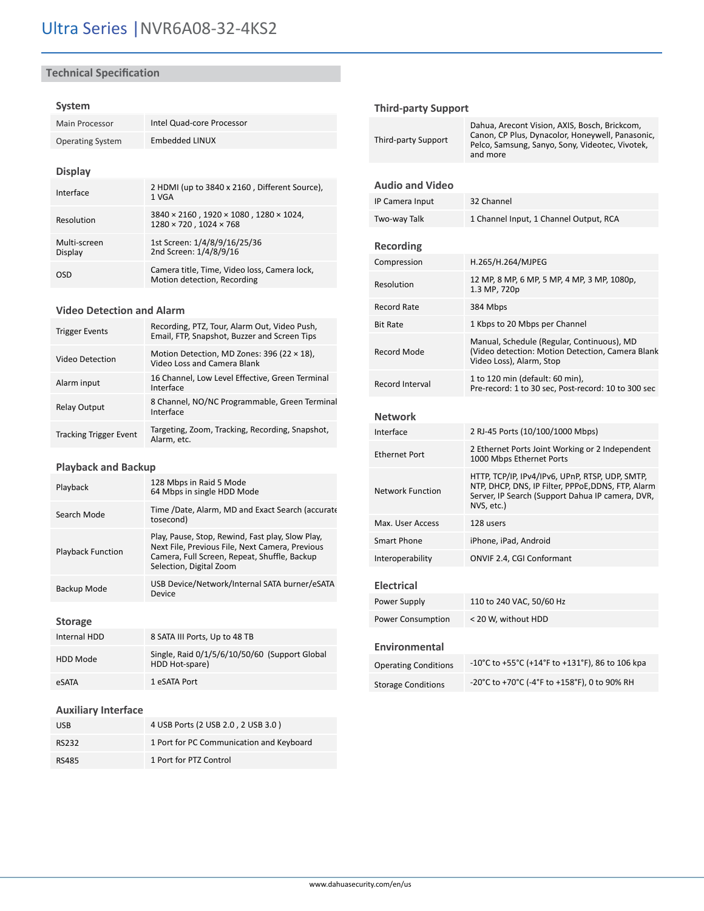# **Technical Specification**

## **System**

| Main Processor          | Intel Quad-core Processor                                                                               |  |
|-------------------------|---------------------------------------------------------------------------------------------------------|--|
| <b>Operating System</b> | Embedded LINUX                                                                                          |  |
|                         |                                                                                                         |  |
| <b>Display</b>          |                                                                                                         |  |
| Interface               | 2 HDMI (up to 3840 x 2160, Different Source),<br>1 VGA                                                  |  |
| Resolution              | $3840 \times 2160$ , $1920 \times 1080$ , $1280 \times 1024$ ,<br>$1280 \times 720$ . $1024 \times 768$ |  |
| Multi-screen<br>Display | 1st Screen: 1/4/8/9/16/25/36<br>2nd Screen: 1/4/8/9/16                                                  |  |
| OSD                     | Camera title, Time, Video loss, Camera lock,<br>Motion detection, Recording                             |  |

#### **Video Detection and Alarm**

| <b>Trigger Events</b>         | Recording, PTZ, Tour, Alarm Out, Video Push,<br>Email, FTP, Snapshot, Buzzer and Screen Tips |
|-------------------------------|----------------------------------------------------------------------------------------------|
| <b>Video Detection</b>        | Motion Detection, MD Zones: 396 (22 $\times$ 18),<br>Video Loss and Camera Blank             |
| Alarm input                   | 16 Channel, Low Level Effective, Green Terminal<br>Interface                                 |
| <b>Relay Output</b>           | 8 Channel, NO/NC Programmable, Green Terminal<br>Interface                                   |
| <b>Tracking Trigger Event</b> | Targeting, Zoom, Tracking, Recording, Snapshot,<br>Alarm. etc.                               |

# **Playback and Backup**

| Playback                 | 128 Mbps in Raid 5 Mode<br>64 Mbps in single HDD Mode                                                                                                                          |
|--------------------------|--------------------------------------------------------------------------------------------------------------------------------------------------------------------------------|
| Search Mode              | Time /Date, Alarm, MD and Exact Search (accurate<br>tosecond)                                                                                                                  |
| <b>Playback Function</b> | Play, Pause, Stop, Rewind, Fast play, Slow Play,<br>Next File, Previous File, Next Camera, Previous<br>Camera, Full Screen, Repeat, Shuffle, Backup<br>Selection, Digital Zoom |
| Backup Mode              | USB Device/Network/Internal SATA burner/eSATA<br>Device                                                                                                                        |

# **Storage**

| Internal HDD | 8 SATA III Ports, Up to 48 TB                                   |  |
|--------------|-----------------------------------------------------------------|--|
| HDD Mode     | Single, Raid 0/1/5/6/10/50/60 (Support Global<br>HDD Hot-spare) |  |
| eSATA        | 1 eSATA Port                                                    |  |

# **Auxiliary Interface**

| <b>USB</b>   | 4 USB Ports (2 USB 2.0, 2 USB 3.0)       |  |
|--------------|------------------------------------------|--|
| <b>RS232</b> | 1 Port for PC Communication and Keyboard |  |
| RS485        | 1 Port for PTZ Control                   |  |

# **Third-party Support**

| Third-party Support         | Dahua, Arecont Vision, AXIS, Bosch, Brickcom,<br>Canon, CP Plus, Dynacolor, Honeywell, Panasonic,<br>Pelco, Samsung, Sanyo, Sony, Videotec, Vivotek,<br>and more        |  |
|-----------------------------|-------------------------------------------------------------------------------------------------------------------------------------------------------------------------|--|
| <b>Audio and Video</b>      |                                                                                                                                                                         |  |
| IP Camera Input             | 32 Channel                                                                                                                                                              |  |
| Two-way Talk                | 1 Channel Input, 1 Channel Output, RCA                                                                                                                                  |  |
| Recording                   |                                                                                                                                                                         |  |
| Compression                 | H.265/H.264/MJPEG                                                                                                                                                       |  |
| Resolution                  | 12 MP, 8 MP, 6 MP, 5 MP, 4 MP, 3 MP, 1080p,<br>1.3 MP, 720p                                                                                                             |  |
| <b>Record Rate</b>          | 384 Mbps                                                                                                                                                                |  |
| <b>Bit Rate</b>             | 1 Kbps to 20 Mbps per Channel                                                                                                                                           |  |
| <b>Record Mode</b>          | Manual, Schedule (Regular, Continuous), MD<br>(Video detection: Motion Detection, Camera Blank<br>Video Loss), Alarm, Stop                                              |  |
| <b>Record Interval</b>      | 1 to 120 min (default: 60 min),<br>Pre-record: 1 to 30 sec, Post-record: 10 to 300 sec                                                                                  |  |
| <b>Network</b>              |                                                                                                                                                                         |  |
| Interface                   | 2 RJ-45 Ports (10/100/1000 Mbps)                                                                                                                                        |  |
| <b>Ethernet Port</b>        | 2 Ethernet Ports Joint Working or 2 Independent<br>1000 Mbps Ethernet Ports                                                                                             |  |
| <b>Network Function</b>     | HTTP, TCP/IP, IPv4/IPv6, UPnP, RTSP, UDP, SMTP,<br>NTP, DHCP, DNS, IP Filter, PPPoE, DDNS, FTP, Alarm<br>Server, IP Search (Support Dahua IP camera, DVR,<br>NVS, etc.) |  |
| Max. User Access            | 128 users                                                                                                                                                               |  |
| <b>Smart Phone</b>          | iPhone, iPad, Android                                                                                                                                                   |  |
| Interoperability            | ONVIF 2.4, CGI Conformant                                                                                                                                               |  |
| <b>Electrical</b>           |                                                                                                                                                                         |  |
| Power Supply                | 110 to 240 VAC, 50/60 Hz                                                                                                                                                |  |
| <b>Power Consumption</b>    | < 20 W, without HDD                                                                                                                                                     |  |
| <b>Environmental</b>        |                                                                                                                                                                         |  |
| <b>Operating Conditions</b> | -10°C to +55°C (+14°F to +131°F), 86 to 106 kpa                                                                                                                         |  |
| <b>Storage Conditions</b>   | -20°C to +70°C (-4°F to +158°F), 0 to 90% RH                                                                                                                            |  |